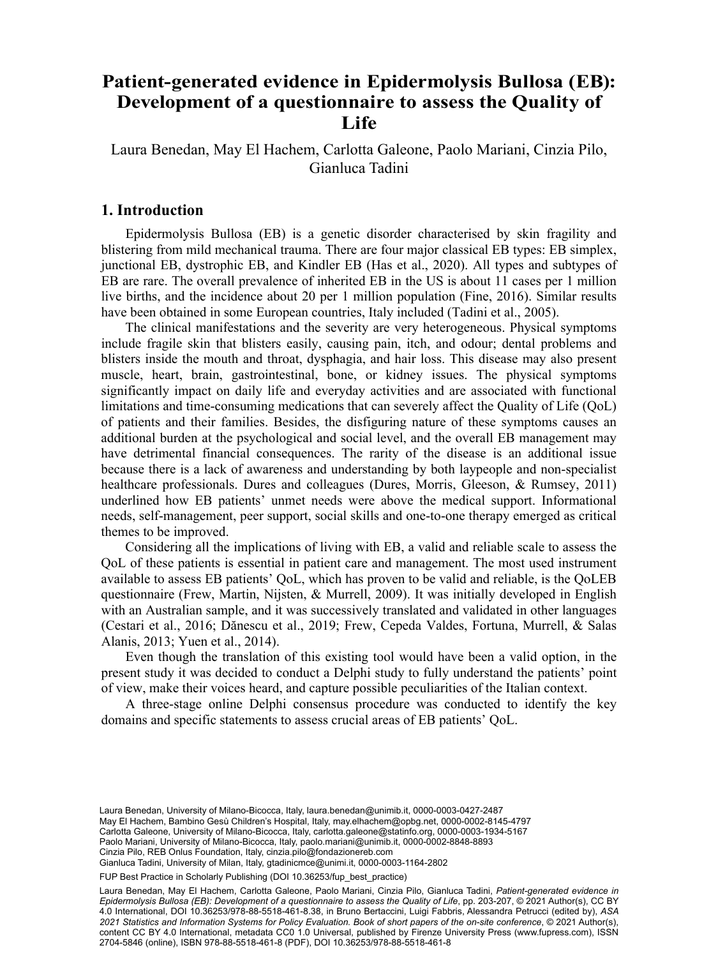#### Patient-generated evidence in Epidermolysis Bullosa (EB): **Development of a questionnaire to assess the Quality of**  $Life$  Fondazione REB Onlus, Milan, Italy **Life**

Laura Benedan, May El Hachem, Carlotta Galeone, Paolo Mariani, Cinzia Pilo, Gianluca Tadini

# **1. Introduction**

Epidermolysis Bullosa (EB) is a genetic disorder characterised by skin fragility and blistering from mild mechanical trauma. There are four major classical EB types: EB simplex, junctional EB, dystrophic EB, and Kindler EB (Has et al., 2020). All types and subtypes of EB are rare. The overall prevalence of inherited EB in the US is about 11 cases per 1 million live births, and the incidence about 20 per 1 million population (Fine, 2016). Similar results have been obtained in some European countries, Italy included (Tadini et al., 2005).

The clinical manifestations and the severity are very heterogeneous. Physical symptoms include fragile skin that blisters easily, causing pain, itch, and odour; dental problems and blisters inside the mouth and throat, dysphagia, and hair loss. This disease may also present muscle, heart, brain, gastrointestinal, bone, or kidney issues. The physical symptoms significantly impact on daily life and everyday activities and are associated with functional limitations and time-consuming medications that can severely affect the Quality of Life (QoL) of patients and their families. Besides, the disfiguring nature of these symptoms causes an additional burden at the psychological and social level, and the overall EB management may have detrimental financial consequences. The rarity of the disease is an additional issue because there is a lack of awareness and understanding by both laypeople and non-specialist healthcare professionals. Dures and colleagues (Dures, Morris, Gleeson, & Rumsey, 2011) underlined how EB patients' unmet needs were above the medical support. Informational needs, self-management, peer support, social skills and one-to-one therapy emerged as critical themes to be improved.

Considering all the implications of living with EB, a valid and reliable scale to assess the QoL of these patients is essential in patient care and management. The most used instrument available to assess EB patients' QoL, which has proven to be valid and reliable, is the QoLEB questionnaire (Frew, Martin, Nijsten, & Murrell, 2009). It was initially developed in English with an Australian sample, and it was successively translated and validated in other languages (Cestari et al., 2016; Dănescu et al., 2019; Frew, Cepeda Valdes, Fortuna, Murrell, & Salas Alanis, 2013; Yuen et al., 2014).

Even though the translation of this existing tool would have been a valid option, in the present study it was decided to conduct a Delphi study to fully understand the patients' point of view, make their voices heard, and capture possible peculiarities of the Italian context.

A three-stage online Delphi consensus procedure was conducted to identify the key domains and specific statements to assess crucial areas of EB patients' QoL.

Gianluca Tadini, University of Milan, Italy, gtadinicmce@unimi.it, [0000-0003-1164-2802](https://orcid.org/0000-0003-1164-2802)

Laura Benedan, University of Milano-Bicocca, Italy, [laura.benedan@unimib.it](mailto:laura.benedan@unimib.it), [0000-0003-0427-2487](https://orcid.org/0000-0003-0427-2487) May El Hachem, Bambino Gesù Children's Hospital, Italy, may.elhachem@opbg.net, [0000-0002-8145-4797](https://orcid.org/0000-0002-8145-4797) Carlotta Galeone, University of Milano-Bicocca, Italy, [carlotta.galeone@statinfo.org,](mailto:carlotta.galeone@statinfo.org) [0000-0003-1934-5167](https://orcid.org/0000-0003-1934-5167) Paolo Mariani, University of Milano-Bicocca, Italy, [paolo.mariani@unimib.it](mailto:paolo.mariani@unimib.it), [0000-0002-8848-8893](https://orcid.org/0000-0002-8848-8893) Cinzia Pilo, REB Onlus Foundation, Italy, [cinzia.pilo@fondazionereb.com](mailto:cinzia.pilo@fondazionereb.com)

FUP Best Practice in Scholarly Publishing (DOI [10.36253/fup\\_best\\_practice](https://doi.org/10.36253/fup_best_practice))

Laura Benedan, May El Hachem, Carlotta Galeone, Paolo Mariani, Cinzia Pilo, Gianluca Tadini, *Patient-generated evidence in Epidermolysis Bullosa (EB): Development of a questionnaire to assess the Quality of Life*, pp. 203-207, © 2021 Author(s), [CC BY](http://creativecommons.org/licenses/by/4.0/legalcode) [4.0 International](http://creativecommons.org/licenses/by/4.0/legalcode), DOI [10.36253/978-88-5518-461-8.38](https://doi.org/10.36253/978-88-5518-461-8.38), in Bruno Bertaccini, Luigi Fabbris, Alessandra Petrucci (edited by), *ASA 2021 Statistics and Information Systems for Policy Evaluation. Book of short papers of the on-site conference*, © 2021 Author(s), content [CC BY 4.0 International,](http://creativecommons.org/licenses/by/4.0/legalcode) metadata [CC0 1.0 Universal](https://creativecommons.org/publicdomain/zero/1.0/legalcode), published by Firenze University Press [\(www.fupress.com](http://www.fupress.com)), ISSN 2704-5846 (online), ISBN 978-88-5518-461-8 (PDF), DOI [10.36253/978-88-5518-461-8](https://doi.org/10.36253/978-88-5518-461-8)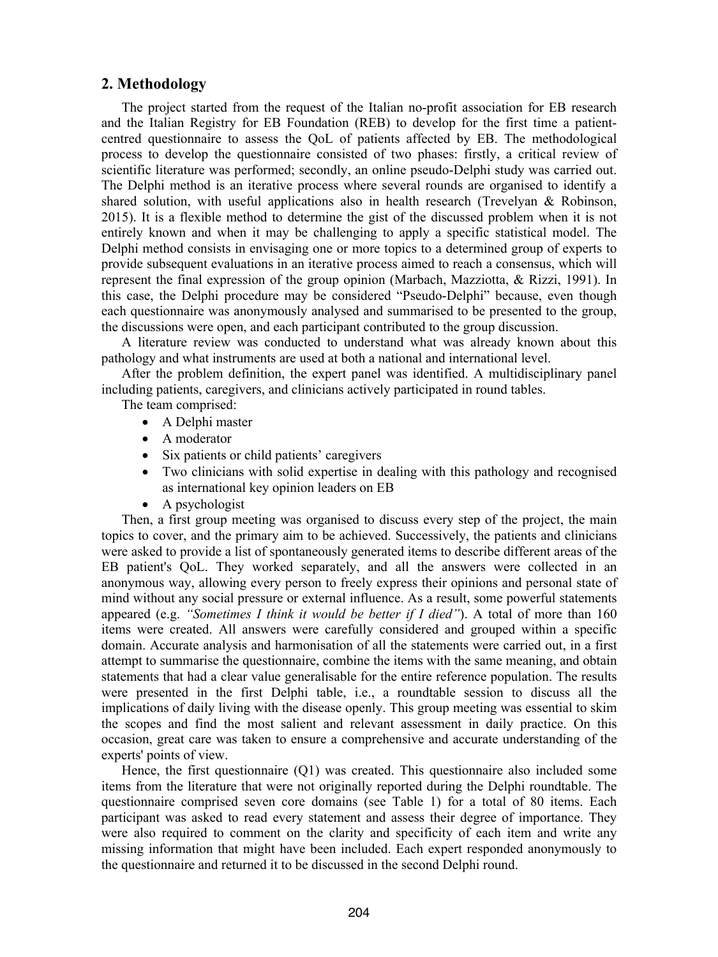## **2. Methodology**

The project started from the request of the Italian no-profit association for EB research and the Italian Registry for EB Foundation (REB) to develop for the first time a patientcentred questionnaire to assess the QoL of patients affected by EB. The methodological process to develop the questionnaire consisted of two phases: firstly, a critical review of scientific literature was performed; secondly, an online pseudo-Delphi study was carried out. The Delphi method is an iterative process where several rounds are organised to identify a shared solution, with useful applications also in health research (Trevelyan & Robinson, 2015). It is a flexible method to determine the gist of the discussed problem when it is not entirely known and when it may be challenging to apply a specific statistical model. The Delphi method consists in envisaging one or more topics to a determined group of experts to provide subsequent evaluations in an iterative process aimed to reach a consensus, which will represent the final expression of the group opinion (Marbach, Mazziotta, & Rizzi, 1991). In this case, the Delphi procedure may be considered "Pseudo-Delphi" because, even though each questionnaire was anonymously analysed and summarised to be presented to the group, the discussions were open, and each participant contributed to the group discussion.

A literature review was conducted to understand what was already known about this pathology and what instruments are used at both a national and international level.

After the problem definition, the expert panel was identified. A multidisciplinary panel including patients, caregivers, and clinicians actively participated in round tables.

The team comprised:

- A Delphi master
- A moderator
- Six patients or child patients' caregivers
- Two clinicians with solid expertise in dealing with this pathology and recognised as international key opinion leaders on EB
- A psychologist

Then, a first group meeting was organised to discuss every step of the project, the main topics to cover, and the primary aim to be achieved. Successively, the patients and clinicians were asked to provide a list of spontaneously generated items to describe different areas of the EB patient's QoL. They worked separately, and all the answers were collected in an anonymous way, allowing every person to freely express their opinions and personal state of mind without any social pressure or external influence. As a result, some powerful statements appeared (e.g. *"Sometimes I think it would be better if I died"*). A total of more than 160 items were created. All answers were carefully considered and grouped within a specific domain. Accurate analysis and harmonisation of all the statements were carried out, in a first attempt to summarise the questionnaire, combine the items with the same meaning, and obtain statements that had a clear value generalisable for the entire reference population. The results were presented in the first Delphi table, i.e., a roundtable session to discuss all the implications of daily living with the disease openly. This group meeting was essential to skim the scopes and find the most salient and relevant assessment in daily practice. On this occasion, great care was taken to ensure a comprehensive and accurate understanding of the experts' points of view.

Hence, the first questionnaire (Q1) was created. This questionnaire also included some items from the literature that were not originally reported during the Delphi roundtable. The questionnaire comprised seven core domains (see Table 1) for a total of 80 items. Each participant was asked to read every statement and assess their degree of importance. They were also required to comment on the clarity and specificity of each item and write any missing information that might have been included. Each expert responded anonymously to the questionnaire and returned it to be discussed in the second Delphi round.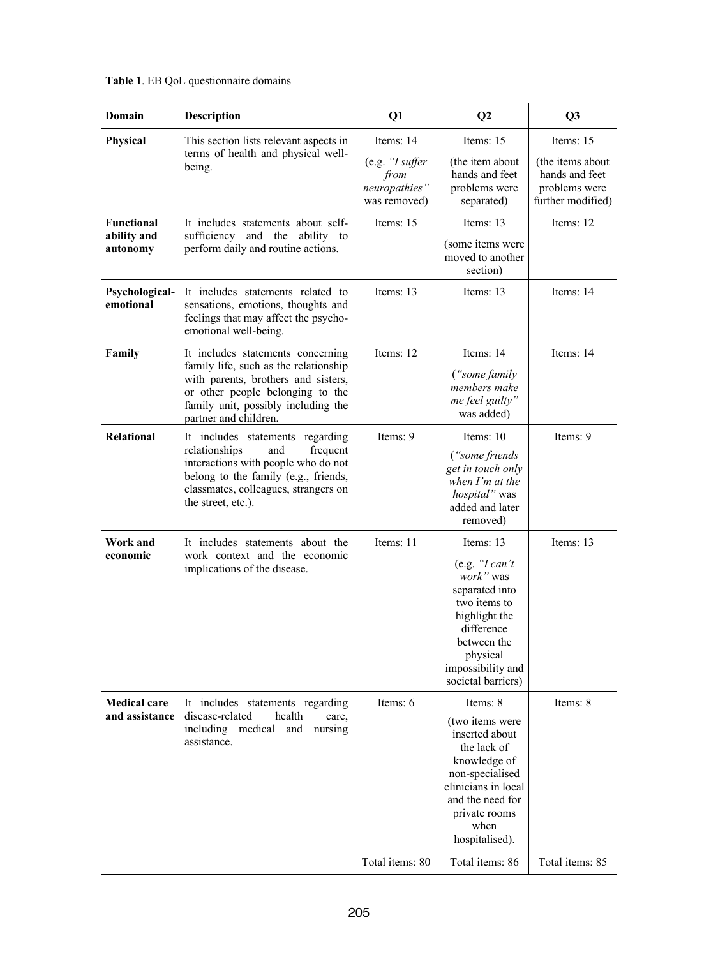| Domain                                       | <b>Description</b>                                                                                                                                                                                                    | Q1                                                                    | $\bf Q2$                                                                                                                                                                              | Q <sub>3</sub>                                                                        |
|----------------------------------------------|-----------------------------------------------------------------------------------------------------------------------------------------------------------------------------------------------------------------------|-----------------------------------------------------------------------|---------------------------------------------------------------------------------------------------------------------------------------------------------------------------------------|---------------------------------------------------------------------------------------|
| Physical                                     | This section lists relevant aspects in<br>terms of health and physical well-<br>being.                                                                                                                                | Items: 14<br>(e.g. "I suffer<br>from<br>neuropathies"<br>was removed) | Items: 15<br>(the item about<br>hands and feet<br>problems were<br>separated)                                                                                                         | Items: 15<br>(the items about<br>hands and feet<br>problems were<br>further modified) |
| <b>Functional</b><br>ability and<br>autonomy | It includes statements about self-<br>sufficiency and the ability to<br>perform daily and routine actions.                                                                                                            | Items: 15                                                             | Items: 13<br>(some items were<br>moved to another<br>section)                                                                                                                         | Items: 12                                                                             |
| Psychological-<br>emotional                  | It includes statements related to<br>sensations, emotions, thoughts and<br>feelings that may affect the psycho-<br>emotional well-being.                                                                              | Items: 13                                                             | Items: 13                                                                                                                                                                             | Items: 14                                                                             |
| Family                                       | It includes statements concerning<br>family life, such as the relationship<br>with parents, brothers and sisters,<br>or other people belonging to the<br>family unit, possibly including the<br>partner and children. | Items: 12                                                             | Items: 14<br>("some family")<br>members make<br>me feel guilty"<br>was added)                                                                                                         | Items: 14                                                                             |
| <b>Relational</b>                            | It includes statements regarding<br>relationships<br>and<br>frequent<br>interactions with people who do not<br>belong to the family (e.g., friends,<br>classmates, colleagues, strangers on<br>the street, etc.).     | Items: 9                                                              | Items: $10$<br>("some friends")<br>get in touch only<br>when I'm at the<br>hospital" was<br>added and later<br>removed)                                                               | Items: 9                                                                              |
| Work and<br>economic                         | It includes statements about the<br>work context and the economic<br>implications of the disease.                                                                                                                     | Items: 11                                                             | Items: 13<br>(e.g. "I can't<br>work" was<br>separated into<br>two items to<br>highlight the<br>difference<br>between the<br>physical<br>impossibility and<br>societal barriers)       | Items: 13                                                                             |
| <b>Medical care</b><br>and assistance        | It includes statements regarding<br>disease-related<br>health<br>care,<br>including medical and nursing<br>assistance.                                                                                                | Items: 6                                                              | Items: 8<br>(two items were<br>inserted about<br>the lack of<br>knowledge of<br>non-specialised<br>clinicians in local<br>and the need for<br>private rooms<br>when<br>hospitalised). | Items: 8                                                                              |
|                                              |                                                                                                                                                                                                                       | Total items: 80                                                       | Total items: 86                                                                                                                                                                       | Total items: 85                                                                       |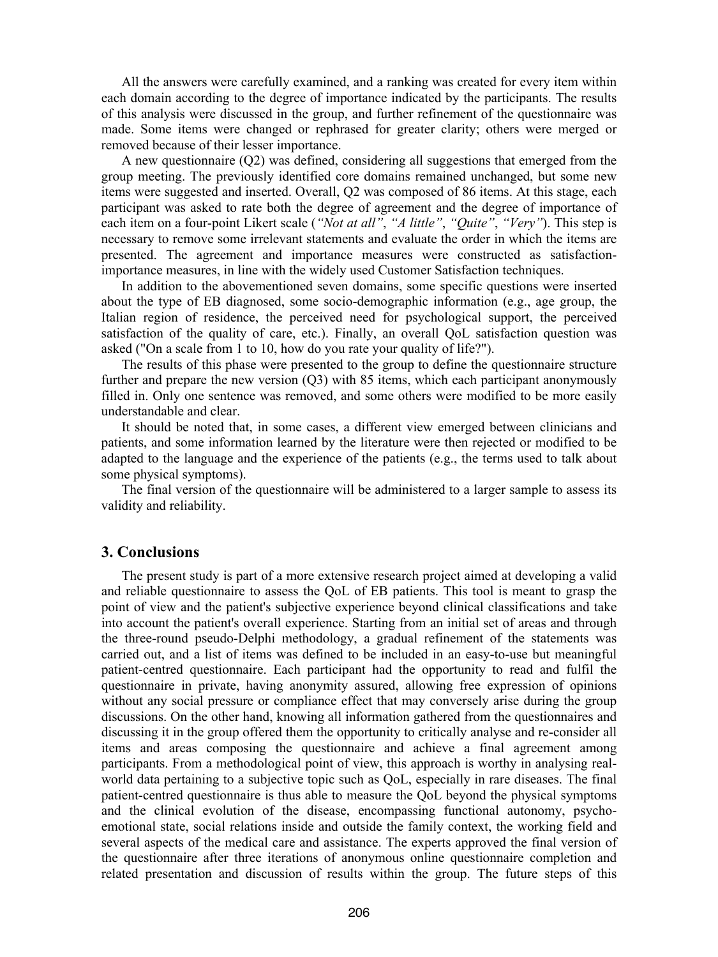All the answers were carefully examined, and a ranking was created for every item within each domain according to the degree of importance indicated by the participants. The results of this analysis were discussed in the group, and further refinement of the questionnaire was made. Some items were changed or rephrased for greater clarity; others were merged or removed because of their lesser importance.

A new questionnaire (Q2) was defined, considering all suggestions that emerged from the group meeting. The previously identified core domains remained unchanged, but some new items were suggested and inserted. Overall, Q2 was composed of 86 items. At this stage, each participant was asked to rate both the degree of agreement and the degree of importance of each item on a four-point Likert scale (*"Not at all"*, *"A little"*, *"Quite"*, *"Very"*). This step is necessary to remove some irrelevant statements and evaluate the order in which the items are presented. The agreement and importance measures were constructed as satisfactionimportance measures, in line with the widely used Customer Satisfaction techniques.

In addition to the abovementioned seven domains, some specific questions were inserted about the type of EB diagnosed, some socio-demographic information (e.g., age group, the Italian region of residence, the perceived need for psychological support, the perceived satisfaction of the quality of care, etc.). Finally, an overall QoL satisfaction question was asked ("On a scale from 1 to 10, how do you rate your quality of life?").

The results of this phase were presented to the group to define the questionnaire structure further and prepare the new version (Q3) with 85 items, which each participant anonymously filled in. Only one sentence was removed, and some others were modified to be more easily understandable and clear.

It should be noted that, in some cases, a different view emerged between clinicians and patients, and some information learned by the literature were then rejected or modified to be adapted to the language and the experience of the patients (e.g., the terms used to talk about some physical symptoms).

The final version of the questionnaire will be administered to a larger sample to assess its validity and reliability.

### **3. Conclusions**

The present study is part of a more extensive research project aimed at developing a valid and reliable questionnaire to assess the QoL of EB patients. This tool is meant to grasp the point of view and the patient's subjective experience beyond clinical classifications and take into account the patient's overall experience. Starting from an initial set of areas and through the three-round pseudo-Delphi methodology, a gradual refinement of the statements was carried out, and a list of items was defined to be included in an easy-to-use but meaningful patient-centred questionnaire. Each participant had the opportunity to read and fulfil the questionnaire in private, having anonymity assured, allowing free expression of opinions without any social pressure or compliance effect that may conversely arise during the group discussions. On the other hand, knowing all information gathered from the questionnaires and discussing it in the group offered them the opportunity to critically analyse and re-consider all items and areas composing the questionnaire and achieve a final agreement among participants. From a methodological point of view, this approach is worthy in analysing realworld data pertaining to a subjective topic such as QoL, especially in rare diseases. The final patient-centred questionnaire is thus able to measure the QoL beyond the physical symptoms and the clinical evolution of the disease, encompassing functional autonomy, psychoemotional state, social relations inside and outside the family context, the working field and several aspects of the medical care and assistance. The experts approved the final version of the questionnaire after three iterations of anonymous online questionnaire completion and related presentation and discussion of results within the group. The future steps of this